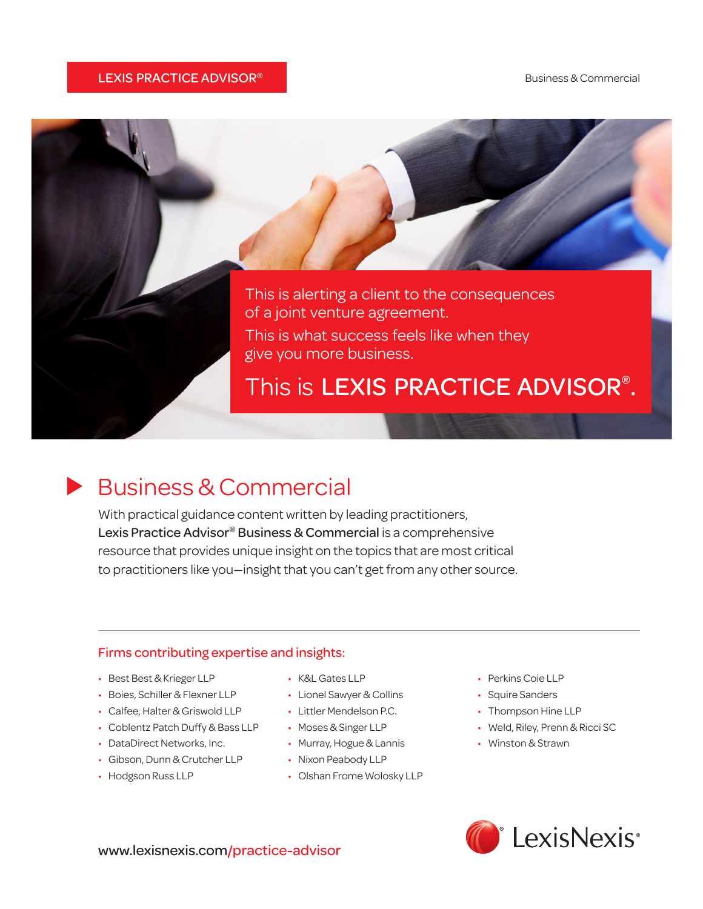#### **LEXIS PRACTICE ADVISOR®** Business & Commercial



## Business & Commercial

With practical guidance content written by leading practitioners, Lexis Practice Advisor<sup>®</sup> Business & Commercial is a comprehensive resource that provides unique insight on the topics that are most critical to practitioners like you—insight that you can't get from any other source.

#### Firms contributing expertise and insights:

- • Best Best & Krieger LLP
- Boies, Schiller & Flexner LLP
- Calfee, Halter & Griswold LLP
- Coblentz Patch Duffy & Bass LLP
- DataDirect Networks, Inc.
- Gibson, Dunn & Crutcher LLP
- Hodgson Russ LLP
- • K&L Gates LLP
- • Lionel Sawyer & Collins
- Littler Mendelson P.C.
- • Moses & Singer LLP
- Murray, Hogue & Lannis
- • Nixon Peabody LLP
- Olshan Frome Wolosky LLP
- • Perkins Coie LLP
- Squire Sanders
- Thompson Hine LLP
- Weld, Riley, Prenn & Ricci SC
- • Winston & Strawn



www.lexisnexis.com/practice-advisor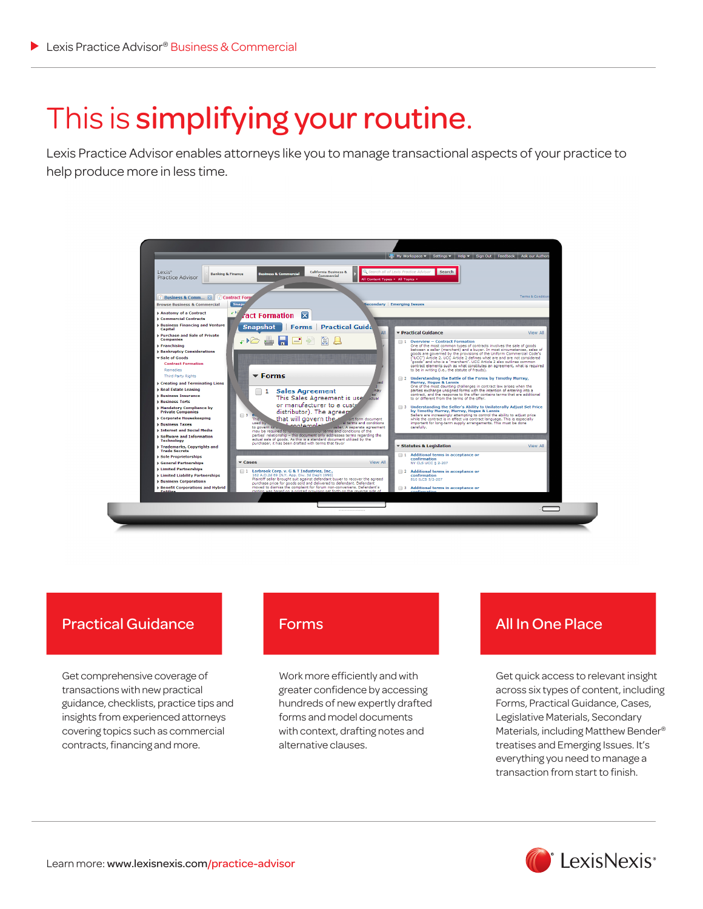# This is simplifying your routine.

Lexis Practice Advisor enables attorneys like you to manage transactional aspects of your practice to help produce more in less time.



### Practical Guidance

Get comprehensive coverage of transactions with new practical guidance, checklists, practice tips and insights from experienced attorneys covering topics such as commercial contracts, financing and more.

Work more efficiently and with greater confidence by accessing hundreds of new expertly drafted forms and model documents with context, drafting notes and alternative clauses.

## Forms **All In One Place**

Get quick access to relevant insight across six types of content, including Forms, Practical Guidance, Cases, Legislative Materials, Secondary Materials, including Matthew Bender® treatises and Emerging Issues. It's everything you need to manage a transaction from start to finish.

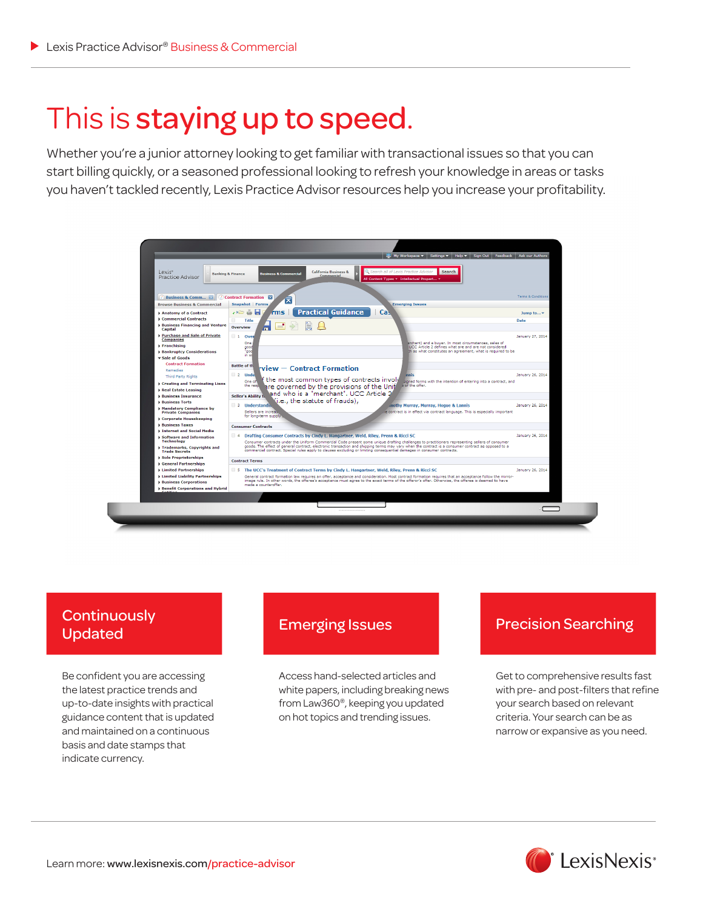## This is staying up to speed.

Whether you're a junior attorney looking to get familiar with transactional issues so that you can start billing quickly, or a seasoned professional looking to refresh your knowledge in areas or tasks you haven't tackled recently, Lexis Practice Advisor resources help you increase your profitability.



# Updated

Be confident you are accessing the latest practice trends and up-to-date insights with practical guidance content that is updated and maintained on a continuous basis and date stamps that indicate currency.

Access hand-selected articles and white papers, including breaking news from Law360®, keeping you updated on hot topics and trending issues.

## Emerging Issues<br>
Precision Searching Lindston

Get to comprehensive results fast with pre- and post-filters that refine your search based on relevant criteria. Your search can be as narrow or expansive as you need.